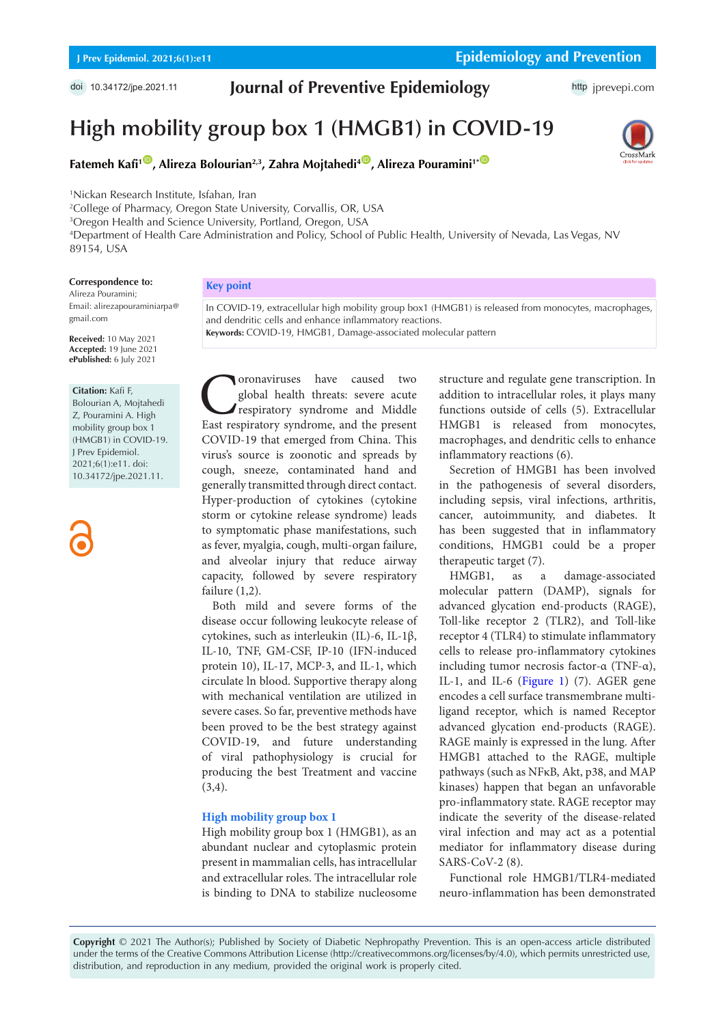doi [10.34172/jpe.2021.11](https://doi.org/10.34172/jpe.2021.11)

## **Journal of Preventive Epidemiology**

# **High mobility group box 1 (HMGB1) in COVID-19**



**Fatemeh Kafi<sup>1</sup><sup>(D</sup>, Alireza Bolourian<sup>2,3</sup>, Zahra Mojtahedi<sup>4</sup><sup>(D</sup>, Alireza Pouramini<sup>1\* O</sup>** 

1 Nickan Research Institute, Isfahan, Iran

 College of Pharmacy, Oregon State University, Corvallis, OR, USA Oregon Health and Science University, Portland, Oregon, USA Department of Health Care Administration and Policy, School of Public Health, University of Nevada, Las Vegas, NV 89154, USA

#### **Correspondence to:**

Alireza Pouramini; Email: alirezapouraminiarpa@ gmail.com

**Received:** 10 May 2021 **Accepted:** 19 June 2021 **ePublished:** 6 July 2021

#### **Citation:** Kafi F,

Bolourian A, Mojtahedi Z, Pouramini A. High mobility group box 1 (HMGB1) in COVID-19. J Prev Epidemiol. 2021;6(1):e11. doi: 10.34172/jpe.2021.11.

**Key point** 

In COVID-19, extracellular high mobility group box1 (HMGB1) is released from monocytes, macrophages, and dendritic cells and enhance inflammatory reactions. **Keywords:** COVID-19, HMGB1, Damage-associated molecular pattern

Coronaviruses have caused two East respiratory syndrome, and the present global health threats: severe acute respiratory syndrome and Middle COVID-19 that emerged from China. This virus's source is zoonotic and spreads by cough, sneeze, contaminated hand and generally transmitted through direct contact. Hyper-production of cytokines (cytokine storm or cytokine release syndrome) leads to symptomatic phase manifestations, such as fever, myalgia, cough, multi-organ failure, and alveolar injury that reduce airway capacity, followed by severe respiratory failure (1,2).

Both mild and severe forms of the disease occur following leukocyte release of cytokines, such as interleukin (IL)-6, IL-1β, IL-10, TNF, GM-CSF, IP-10 (IFN-induced protein 10), IL-17, MCP-3, and IL-1, which circulate ln blood. Supportive therapy along with mechanical ventilation are utilized in severe cases. So far, preventive methods have been proved to be the best strategy against COVID-19, and future understanding of viral pathophysiology is crucial for producing the best Treatment and vaccine (3,4).

### **High mobility group box 1**

High mobility group box 1 (HMGB1), as an abundant nuclear and cytoplasmic protein present in mammalian cells, has intracellular and extracellular roles. The intracellular role is binding to DNA to stabilize nucleosome structure and regulate gene transcription. In addition to intracellular roles, it plays many functions outside of cells (5). Extracellular HMGB1 is released from monocytes, macrophages, and dendritic cells to enhance inflammatory reactions (6).

Secretion of HMGB1 has been involved in the pathogenesis of several disorders, including sepsis, viral infections, arthritis, cancer, autoimmunity, and diabetes. It has been suggested that in inflammatory conditions, HMGB1 could be a proper therapeutic target (7).

HMGB1, as a damage-associated molecular pattern (DAMP), signals for advanced glycation end-products (RAGE), Toll-like receptor 2 (TLR2), and Toll-like receptor 4 (TLR4) to stimulate inflammatory cells to release pro-inflammatory cytokines including tumor necrosis factor-α (TNF-α), IL-1, and IL-6 ([Figure 1\)](#page-1-0) (7). AGER gene encodes a cell surface transmembrane multiligand receptor, which is named Receptor advanced glycation end-products (RAGE). RAGE mainly is expressed in the lung. After HMGB1 attached to the RAGE, multiple pathways (such as NFκB, Akt, p38, and MAP kinases) happen that began an unfavorable pro-inflammatory state. RAGE receptor may indicate the severity of the disease-related viral infection and may act as a potential mediator for inflammatory disease during SARS-CoV-2 (8).

Functional role HMGB1/TLR4-mediated neuro-inflammation has been demonstrated

**Copyright** © 2021 The Author(s); Published by Society of Diabetic Nephropathy Prevention. This is an open-access article distributed under the terms of the Creative Commons Attribution License (http://creativecommons.org/licenses/by/4.0), which permits unrestricted use, distribution, and reproduction in any medium, provided the original work is properly cited.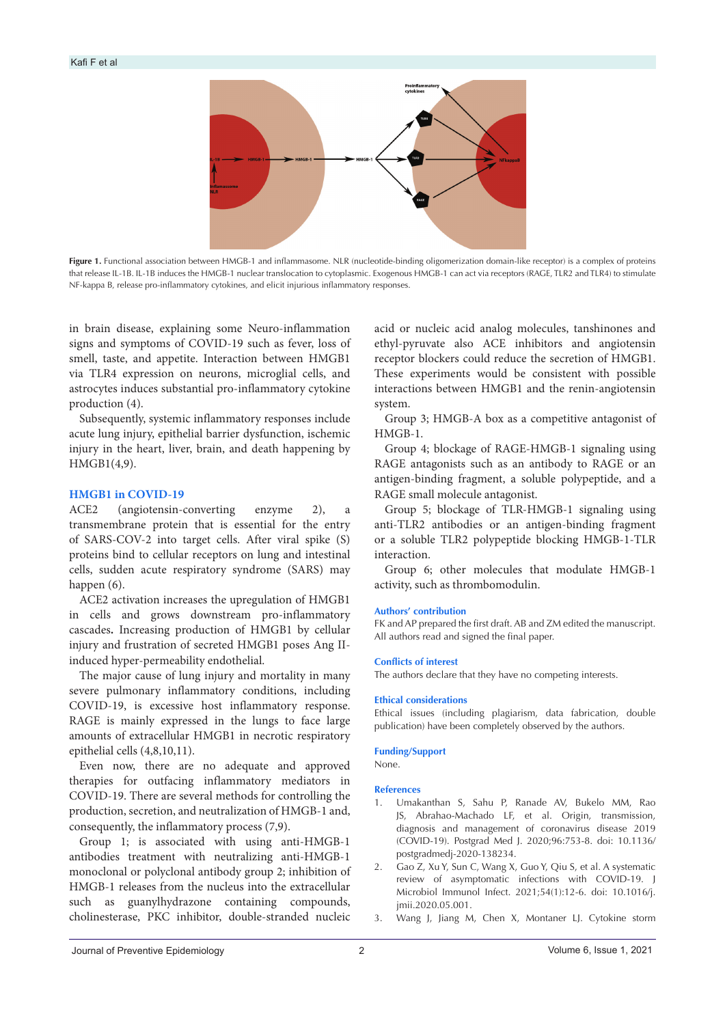<span id="page-1-0"></span>

**Figure 1.** Functional association between HMGB-1 and inflammasome. NLR (nucleotide-binding oligomerization domain-like receptor) is a complex of proteins that release IL-1B. IL-1B induces the HMGB-1 nuclear translocation to cytoplasmic. Exogenous HMGB-1 can act via receptors (RAGE, TLR2 and TLR4) to stimulate NF-kappa B, release pro-inflammatory cytokines, and elicit injurious inflammatory responses.

in brain disease, explaining some Neuro-inflammation signs and symptoms of COVID-19 such as fever, loss of smell, taste, and appetite. Interaction between HMGB1 via TLR4 expression on neurons, microglial cells, and astrocytes induces substantial pro-inflammatory cytokine production (4).

Subsequently, systemic inflammatory responses include acute lung injury, epithelial barrier dysfunction, ischemic injury in the heart, liver, brain, and death happening by HMGB1(4,9).

#### **HMGB1 in COVID-19**

ACE2 (angiotensin-converting enzyme 2), a transmembrane protein that is essential for the entry of SARS-COV-2 into target cells. After viral spike (S) proteins bind to cellular receptors on lung and intestinal cells, sudden acute respiratory syndrome (SARS) may happen (6).

ACE2 activation increases the upregulation of HMGB1 in cells and grows downstream pro-inflammatory cascades**.** Increasing production of HMGB1 by cellular injury and frustration of secreted HMGB1 poses Ang IIinduced hyper-permeability endothelial.

The major cause of lung injury and mortality in many severe pulmonary inflammatory conditions, including COVID-19, is excessive host inflammatory response. RAGE is mainly expressed in the lungs to face large amounts of extracellular HMGB1 in necrotic respiratory epithelial cells (4,8,10,11).

Even now, there are no adequate and approved therapies for outfacing inflammatory mediators in COVID-19. There are several methods for controlling the production, secretion, and neutralization of HMGB-1 and, consequently, the inflammatory process (7,9).

Group 1; is associated with using anti-HMGB-1 antibodies treatment with neutralizing anti-HMGB-1 monoclonal or polyclonal antibody group 2; inhibition of HMGB-1 releases from the nucleus into the extracellular such as guanylhydrazone containing compounds, cholinesterase, PKC inhibitor, double-stranded nucleic

acid or nucleic acid analog molecules, tanshinones and ethyl-pyruvate also ACE inhibitors and angiotensin receptor blockers could reduce the secretion of HMGB1. These experiments would be consistent with possible interactions between HMGB1 and the renin-angiotensin system.

Group 3; HMGB-A box as a competitive antagonist of HMGB-1.

Group 4; blockage of RAGE-HMGB-1 signaling using RAGE antagonists such as an antibody to RAGE or an antigen-binding fragment, a soluble polypeptide, and a RAGE small molecule antagonist.

Group 5; blockage of TLR-HMGB-1 signaling using anti-TLR2 antibodies or an antigen-binding fragment or a soluble TLR2 polypeptide blocking HMGB-1-TLR interaction.

Group 6; other molecules that modulate HMGB-1 activity, such as thrombomodulin.

#### **Authors' contribution**

FK and AP prepared the first draft. AB and ZM edited the manuscript. All authors read and signed the final paper.

#### **Conflicts of interest**

The authors declare that they have no competing interests.

#### **Ethical considerations**

Ethical issues (including plagiarism, data fabrication, double publication) have been completely observed by the authors.

#### **Funding/Support**

None.

#### **References**

- 1. Umakanthan S, Sahu P, Ranade AV, Bukelo MM, Rao JS, Abrahao-Machado LF, et al. Origin, transmission, diagnosis and management of coronavirus disease 2019 (COVID-19). Postgrad Med J. 2020;96:753-8. doi: 10.1136/ postgradmedj-2020-138234.
- 2. Gao Z, Xu Y, Sun C, Wang X, Guo Y, Qiu S, et al. A systematic review of asymptomatic infections with COVID-19. J Microbiol Immunol Infect. 2021;54(1):12-6. doi: 10.1016/j. jmii.2020.05.001.
- 3. Wang J, Jiang M, Chen X, Montaner LJ. Cytokine storm